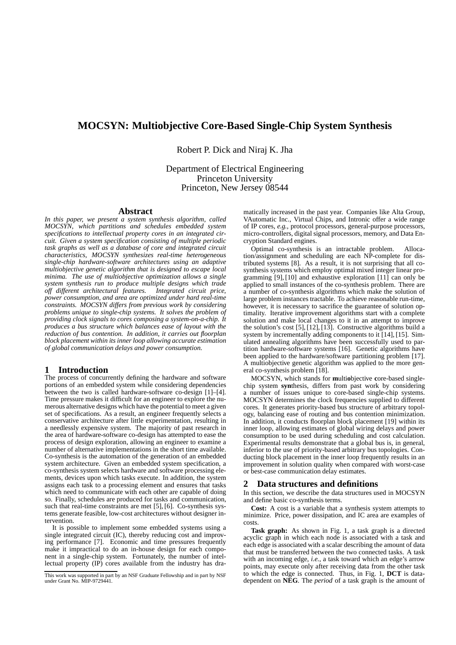# **MOCSYN: Multiobjective Core-Based Single-Chip System Synthesis**

Robert P. Dick and Niraj K. Jha

Department of Electrical Engineering Princeton University Princeton, New Jersey 08544

## **Abstract**

*In this paper, we present a system synthesis algorithm, called MOCSYN, which partitions and schedules embedded system specifications to intellectual property cores in an integrated circuit. Given a system specification consisting of multiple periodic task graphs as well as a database of core and integrated circuit characteristics, MOCSYN synthesizes real-time heterogeneous single-chip hardware-software architectures using an adaptive multiobjective genetic algorithm that is designed to escape local minima. The use of multiobjective optimization allows a single system synthesis run to produce multiple designs which trade off different architectural features. Integrated circuit price, power consumption, and area are optimized under hard real-time constraints. MOCSYN differs from previous work by considering problems unique to single-chip systems. It solves the problem of providing clock signals to cores composing a system-on-a-chip. It produces a bus structure which balances ease of layout with the reduction of bus contention. In addition, it carries out floorplan block placement within its inner loop allowing accurate estimation of global communication delays and power consumption.*

## **1 Introduction**

The process of concurrently defining the hardware and software portions of an embedded system while considering dependencies between the two is called hardware-software co-design [1]–[4]. Time pressure makes it difficult for an engineer to explore the numerous alternative designs which have the potential to meet a given set of specifications. As a result, an engineer frequently selects a conservative architecture after little experimentation, resulting in a needlessly expensive system. The majority of past research in the area of hardware-software co-design has attempted to ease the process of design exploration, allowing an engineer to examine a number of alternative implementations in the short time available. Co-synthesis is the automation of the generation of an embedded system architecture. Given an embedded system specification, a co-synthesis system selects hardware and software processing elements, devices upon which tasks execute. In addition, the system assigns each task to a processing element and ensures that tasks which need to communicate with each other are capable of doing so. Finally, schedules are produced for tasks and communication, such that real-time constraints are met [5], [6]. Co-synthesis systems generate feasible, low-cost architectures without designer intervention.

It is possible to implement some embedded systems using a single integrated circuit (IC), thereby reducing cost and improving performance [7]. Economic and time pressures frequently make it impractical to do an in-house design for each component in a single-chip system. Fortunately, the number of intellectual property (IP) cores available from the industry has dramatically increased in the past year. Companies like Alta Group, VAutomatic Inc., Virtual Chips, and Intronic offer a wide range of IP cores, *e.g.*, protocol processors, general-purpose processors, micro-controllers, digital signal processors, memory, and Data Encryption Standard engines.

Optimal co-synthesis is an intractable problem. Allocation/assignment and scheduling are each NP-complete for distributed systems [8]. As a result, it is not surprising that all cosynthesis systems which employ optimal mixed integer linear programming [9], [10] and exhaustive exploration [11] can only be applied to small instances of the co-synthesis problem. There are a number of co-synthesis algorithms which make the solution of large problem instances tractable. To achieve reasonable run-time, however, it is necessary to sacrifice the guarantee of solution optimality. Iterative improvement algorithms start with a complete solution and make local changes to it in an attempt to improve the solution's cost [5], [12], [13]. Constructive algorithms build a system by incrementally adding components to it [14], [15]. Simulated annealing algorithms have been successfully used to partition hardware-software systems [16]. Genetic algorithms have been applied to the hardware/software partitioning problem [17]. A multiobjective genetic algorithm was applied to the more general co-synthesis problem [18].

MOCSYN, which stands for **m**ulti**o**bjective **c**ore-based singlechip system **syn**thesis, differs from past work by considering a number of issues unique to core-based single-chip systems. MOCSYN determines the clock frequencies supplied to different cores. It generates priority-based bus structure of arbitrary topology, balancing ease of routing and bus contention minimization. In addition, it conducts floorplan block placement [19] within its inner loop, allowing estimates of global wiring delays and power consumption to be used during scheduling and cost calculation. Experimental results demonstrate that a global bus is, in general, inferior to the use of priority-based arbitrary bus topologies. Conducting block placement in the inner loop frequently results in an improvement in solution quality when compared with worst-case or best-case communication delay estimates.

#### **2 Data structures and definitions**

In this section, we describe the data structures used in MOCSYN and define basic co-synthesis terms.

**Cost:** A cost is a variable that a synthesis system attempts to minimize. Price, power dissipation, and IC area are examples of costs.

**Task graph:** As shown in Fig. 1, a task graph is a directed acyclic graph in which each node is associated with a task and each edge is associated with a scalar describing the amount of data that must be transferred between the two connected tasks. A task with an incoming edge, *i.e.*, a task toward which an edge's arrow points, may execute only after receiving data from the other task to which the edge is connected. Thus, in Fig. 1, **DCT** is datadependent on **NEG**. The *period* of a task graph is the amount of

This work was supported in part by an NSF Graduate Fellowship and in part by NSF under Grant No. MIP-9729441.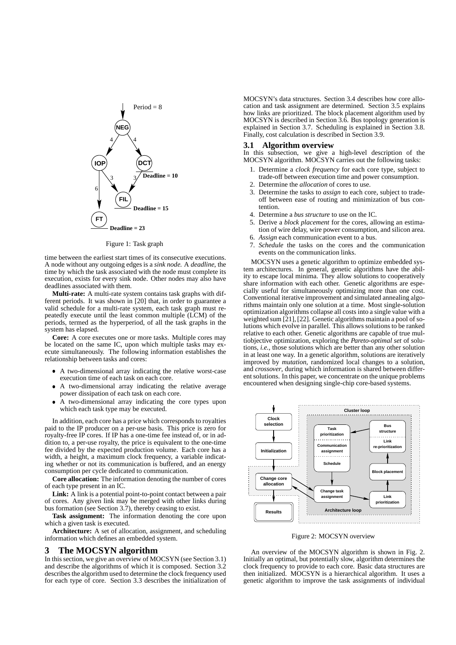

Figure 1: Task graph

time between the earliest start times of its consecutive executions. A node without any outgoing edges is a *sink node*. A *deadline*, the time by which the task associated with the node must complete its execution, exists for every sink node. Other nodes may also have deadlines associated with them.

**Multi-rate:** A multi-rate system contains task graphs with different periods. It was shown in [20] that, in order to guarantee a valid schedule for a multi-rate system, each task graph must repeatedly execute until the least common multiple (LCM) of the periods, termed as the hyperperiod, of all the task graphs in the system has elapsed.

**Core:** A core executes one or more tasks. Multiple cores may be located on the same IC, upon which multiple tasks may execute simultaneously. The following information establishes the relationship between tasks and cores:

- A two-dimensional array indicating the relative worst-case execution time of each task on each core.
- $\bullet$ A two-dimensional array indicating the relative average power dissipation of each task on each core.
- A two-dimensional array indicating the core types upon which each task type may be executed.

In addition, each core has a price which corresponds to royalties paid to the IP producer on a per-use basis. This price is zero for royalty-free IP cores. If IP has a one-time fee instead of, or in addition to, a per-use royalty, the price is equivalent to the one-time fee divided by the expected production volume. Each core has a width, a height, a maximum clock frequency, a variable indicating whether or not its communication is buffered, and an energy consumption per cycle dedicated to communication.

**Core allocation:** The information denoting the number of cores of each type present in an IC.

**Link:** A link is a potential point-to-point contact between a pair of cores. Any given link may be merged with other links during bus formation (see Section 3.7), thereby ceasing to exist.

**Task assignment:** The information denoting the core upon which a given task is executed.

**Architecture:** A set of allocation, assignment, and scheduling information which defines an embedded system.

## **3 The MOCSYN algorithm**

In this section, we give an overview of MOCSYN (see Section 3.1) and describe the algorithms of which it is composed. Section 3.2 describes the algorithm used to determine the clock frequency used for each type of core. Section 3.3 describes the initialization of MOCSYN's data structures. Section 3.4 describes how core allocation and task assignment are determined. Section 3.5 explains how links are prioritized. The block placement algorithm used by MOCSYN is described in Section 3.6. Bus topology generation is explained in Section 3.7. Scheduling is explained in Section 3.8. Finally, cost calculation is described in Section 3.9.

## **3.1 Algorithm overview**

In this subsection, we give a high-level description of the MOCSYN algorithm. MOCSYN carries out the following tasks:

- 1. Determine a *clock frequency* for each core type, subject to trade-off between execution time and power consumption.
- 2. Determine the *allocation* of cores to use.
- 3. Determine the tasks to *assign* to each core, subject to tradeoff between ease of routing and minimization of bus contention.
- 4. Determine a *bus structure* to use on the IC.
- 5. Derive a *block placement* for the cores, allowing an estimation of wire delay, wire power consumption, and silicon area. 6. *Assign* each communication event to a bus.
- 7. *Schedule* the tasks on the cores and the communication events on the communication links.

MOCSYN uses a genetic algorithm to optimize embedded system architectures. In general, genetic algorithms have the ability to escape local minima. They allow solutions to cooperatively share information with each other. Genetic algorithms are especially useful for simultaneously optimizing more than one cost. Conventional iterative improvement and simulated annealing algorithms maintain only one solution at a time. Most single-solution optimization algorithms collapse all costs into a single value with a weighted sum [21], [22]. Genetic algorithms maintain a pool of solutions which evolve in parallel. This allows solutions to be ranked relative to each other. Genetic algorithms are capable of true multiobjective optimization, exploring the *Pareto-optimal set* of solutions, *i.e.*, those solutions which are better than any other solution in at least one way. In a genetic algorithm, solutions are iteratively improved by *mutation*, randomized local changes to a solution, and *crossover*, during which information is shared between different solutions. In this paper, we concentrate on the unique problems encountered when designing single-chip core-based systems.



Figure 2: MOCSYN overview

An overview of the MOCSYN algorithm is shown in Fig. 2. Initially an optimal, but potentially slow, algorithm determines the clock frequency to provide to each core. Basic data structures are then initialized. MOCSYN is a hierarchical algorithm. It uses a genetic algorithm to improve the task assignments of individual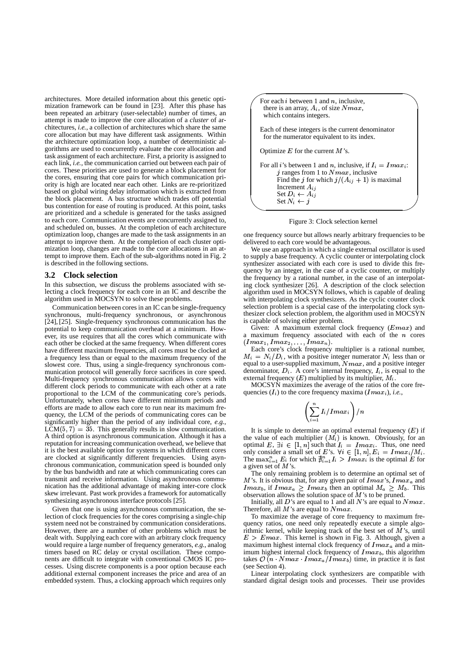architectures. More detailed information about this genetic optimization framework can be found in [23]. After this phase has been repeated an arbitrary (user-selectable) number of times, an attempt is made to improve the core allocation of a *cluster* of architectures, *i.e.*, a collection of architectures which share the same core allocation but may have different task assignments. Within the architecture optimization loop, a number of deterministic algorithms are used to concurrently evaluate the core allocation and task assignment of each architecture. First, a priority is assigned to each link, *i.e.*, the communication carried out between each pair of cores. These priorities are used to generate a block placement for the cores, ensuring that core pairs for which communication priority is high are located near each other. Links are re-prioritized based on global wiring delay information which is extracted from the block placement. A bus structure which trades off potential bus contention for ease of routing is produced. At this point, tasks are prioritized and a schedule is generated for the tasks assigned to each core. Communication events are concurrently assigned to, and scheduled on, busses. At the completion of each architecture optimization loop, changes are made to the task assignments in an attempt to improve them. At the completion of each cluster optimization loop, changes are made to the core allocations in an attempt to improve them. Each of the sub-algorithms noted in Fig. 2 is described in the following sections.

## **3.2 Clock selection**

In this subsection, we discuss the problems associated with selecting a clock frequency for each core in an IC and describe the algorithm used in MOCSYN to solve these problems.

Communication between cores in an IC can be single-frequency synchronous, multi-frequency synchronous, or asynchronous [24], [25]. Single-frequency synchronous communication has the potential to keep communication overhead at a minimum. However, its use requires that all the cores which communicate with each other be clocked at the same frequency. When different cores have different maximum frequencies, all cores must be clocked at a frequency less than or equal to the maximum frequency of the slowest core. Thus, using a single-frequency synchronous communication protocol will generally force sacrifices in core speed. Multi-frequency synchronous communication allows cores with different clock periods to communicate with each other at a rate proportional to the LCM of the communicating core's periods. Unfortunately, when cores have different minimum periods and efforts are made to allow each core to run near its maximum frequency, the LCM of the periods of communicating cores can be significantly higher than the period of any individual core, *e.g.*,  $LCM(5, 7) = 35$ . This generally results in slow communication. A third option is asynchronous communication. Although it has a reputation for increasing communication overhead, we believe that it is the best available option for systems in which different cores are clocked at significantly different frequencies. Using asynchronous communication, communication speed is bounded only by the bus bandwidth and rate at which communicating cores can transmit and receive information. Using asynchronous communication has the additional advantage of making inter-core clock skew irrelevant. Past work provides a framework for automatically synthesizing asynchronous interface protocols [25].

Given that one is using asynchronous communication, the selection of clock frequencies for the cores comprising a single-chip system need not be constrained by communication considerations. However, there are a number of other problems which must be dealt with. Supplying each core with an arbitrary clock frequency would require a large number of frequency generators, *e.g.*, analog timers based on RC delay or crystal oscillation. These components are difficult to integrate with conventional CMOS IC processes. Using discrete components is a poor option because each additional external component increases the price and area of an embedded system. Thus, a clocking approach which requires only





one frequency source but allows nearly arbitrary frequencies to be delivered to each core would be advantageous.

We use an approach in which a single external oscillator is used to supply a base frequency. A cyclic counter or interpolating clock synthesizer associated with each core is used to divide this frequency by an integer, in the case of a cyclic counter, or multiply the frequency by a rational number, in the case of an interpolating clock synthesizer [26]. A description of the clock selection algorithm used in MOCSYN follows, which is capable of dealing with interpolating clock synthesizers. As the cyclic counter clock selection problem is a special case of the interpolating clock synthesizer clock selection problem, the algorithm used in MOCSYN is capable of solving either problem.

Given: A maximum external clock frequency  $(Emax)$  and a maximum frequency associated with each of the  $n$  cores  $(Imax_1, Imax_2, \ldots, Imax_n).$ 

Each core's clock frequency multiplier is a rational number,  $M_i = N_i/D_i$ , with a positive integer numerator  $N_i$  less than or equal to a user-supplied maximum,  $N$ *max*, and a positive integer denominator,  $D_i$ . A core's internal frequency,  $I_i$ , is equal to the external frequency  $(E)$  multiplied by its multiplier,  $M_i$ .

MOCSYN maximizes the average of the ratios of the core frequencies  $(I_i)$  to the core frequency maxima  $(Imax_i)$ , *i.e.*,

$$
\left(\sum_{i=1}^n I_i/Imax_i\right)/n
$$

It is simple to determine an optimal external frequency  $(E)$  if the value of each multiplier  $(M_i)$  is known. Obviously, for an optimal  $E, \exists i \in [1, n]$  such that  $I_i = Imax_i$ . Thus, one need only consider a small set of E's.  $\forall i \in [1, n], E_i = \text{Im} a x_i / M_i$ . The  $\max_{i=1}^{n} E_i$  for which  $\sharp_{i=1}^{n} I_i > Imax_i$  is the optimal E for a given set of  $M$ 's.

The only remaining problem is to determine an optimal set of  $M'$ s. It is obvious that, for any given pair of  $Imax$ 's,  $Imax_a$  and  $Imax_b$ , if  $Imax_a \geq Imax_b$  then an optimal  $M_a \geq M_b$ . This observation allows the solution space of  $\tilde{M}$ 's to be pruned.

Initially, all  $D'$ 's are equal to 1 and all  $N'$ 's are equal to  $Nmax$ . Therefore, all  $M$ 's are equal to  $Nmax$ .

To maximize the average of core frequency to maximum frequency ratios, one need only repeatedly execute a simple algorithmic kernel, while keeping track of the best set of  $\dot{M}$ 's, until  $E > Emax$ . This kernel is shown in Fig. 3. Although, given a maximum highest internal clock frequency of  $Imax_a$  and a minimum highest internal clock frequency of  $Imax<sub>b</sub>$ , this algorithm takes  $\mathcal{O}(n \cdot Nmax \cdot Imax_a / Imax_b)$  time, in practice it is fast (see Section 4).

Linear interpolating clock synthesizers are compatible with standard digital design tools and processes. Their use provides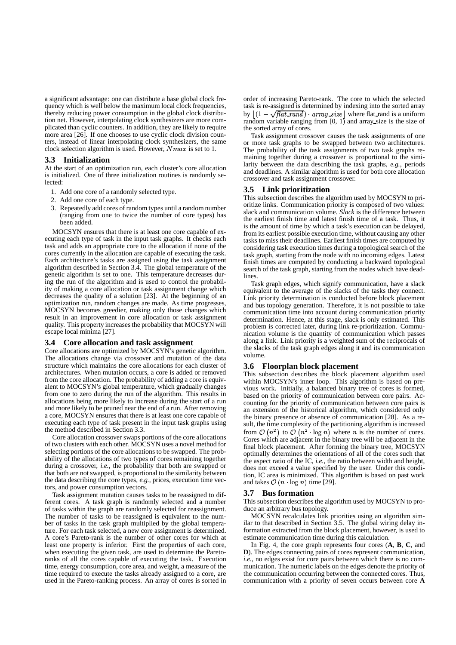a significant advantage: one can distribute a base global clock frequency which is well below the maximum local clock frequencies, thereby reducing power consumption in the global clock distribution net. However, interpolating clock synthesizers are more complicated than cyclic counters. In addition, they are likely to require more area [26]. If one chooses to use cyclic clock division counters, instead of linear interpolating clock synthesizers, the same clock selection algorithm is used. However,  $Nmax$  is set to 1.

#### **3.3 Initialization**

At the start of an optimization run, each cluster's core allocation is initialized. One of three initialization routines is randomly selected:

- 1. Add one core of a randomly selected type.
- 2. Add one core of each type.
- 3. Repeatedly add cores of random types until a random number (ranging from one to twice the number of core types) has been added.

MOCSYN ensures that there is at least one core capable of executing each type of task in the input task graphs. It checks each task and adds an appropriate core to the allocation if none of the cores currently in the allocation are capable of executing the task. Each architecture's tasks are assigned using the task assignment algorithm described in Section 3.4. The global temperature of the genetic algorithm is set to one. This temperature decreases during the run of the algorithm and is used to control the probability of making a core allocation or task assignment change which decreases the quality of a solution [23]. At the beginning of an optimization run, random changes are made. As time progresses, MOCSYN becomes greedier, making only those changes which result in an improvement in core allocation or task assignment quality. This property increases the probability that MOCSYN will escape local minima [27].

## **3.4 Core allocation and task assignment**

Core allocations are optimized by MOCSYN's genetic algorithm. The allocations change via crossover and mutation of the data structure which maintains the core allocations for each cluster of architectures. When mutation occurs, a core is added or removed from the core allocation. The probability of adding a core is equivalent to MOCSYN's global temperature, which gradually changes from one to zero during the run of the algorithm. This results in allocations being more likely to increase during the start of a run and more likely to be pruned near the end of a run. After removing a core, MOCSYN ensures that there is at least one core capable of executing each type of task present in the input task graphs using the method described in Section 3.3.

Core allocation crossover swaps portions of the core allocations of two clusters with each other. MOCSYN uses a novel method for selecting portions of the core allocations to be swapped. The probability of the allocations of two types of cores remaining together during a crossover, *i.e.*, the probability that both are swapped or that both are not swapped, is proportional to the similarity between the data describing the core types, *e.g.*, prices, execution time vectors, and power consumption vectors.

Task assignment mutation causes tasks to be reassigned to different cores. A task graph is randomly selected and a number of tasks within the graph are randomly selected for reassignment. The number of tasks to be reassigned is equivalent to the number of tasks in the task graph multiplied by the global temperature. For each task selected, a new core assignment is determined. A core's Pareto-rank is the number of other cores for which at least one property is inferior. First the properties of each core, when executing the given task, are used to determine the Paretoranks of all the cores capable of executing the task. Execution time, energy consumption, core area, and weight, a measure of the time required to execute the tasks already assigned to a core, are used in the Pareto-ranking process. An array of cores is sorted in order of increasing Pareto-rank. The core to which the selected task is re-assigned is determined by indexing into the sorted array by  $|(1 - \sqrt{flat\_rand})$  array\_size where flat rand is a uniform random variable ranging from [0, 1) and array size is the size of the sorted array of cores.

Task assignment crossover causes the task assignments of one or more task graphs to be swapped between two architectures. The probability of the task assignments of two task graphs remaining together during a crossover is proportional to the similarity between the data describing the task graphs, *e.g.*, periods and deadlines. A similar algorithm is used for both core allocation crossover and task assignment crossover.

#### **3.5 Link prioritization**

This subsection describes the algorithm used by MOCSYN to prioritize links. Communication priority is composed of two values: slack and communication volume. *Slack* is the difference between the earliest finish time and latest finish time of a task. Thus, it is the amount of time by which a task's execution can be delayed, from its earliest possible execution time, without causing any other tasks to miss their deadlines. Earliest finish times are computed by considering task execution times during a topological search of the task graph, starting from the node with no incoming edges. Latest finish times are computed by conducting a backward topological search of the task graph, starting from the nodes which have deadlines.

Task graph edges, which signify communication, have a slack equivalent to the average of the slacks of the tasks they connect. Link priority determination is conducted before block placement and bus topology generation. Therefore, it is not possible to take communication time into account during communication priority determination. Hence, at this stage, slack is only estimated. This problem is corrected later, during link re-prioritization. Communication volume is the quantity of communication which passes along a link. Link priority is a weighted sum of the reciprocals of the slacks of the task graph edges along it and its communication volume.

#### **3.6 Floorplan block placement**

This subsection describes the block placement algorithm used within MOCSYN's inner loop. This algorithm is based on previous work. Initially, a balanced binary tree of cores is formed, based on the priority of communication between core pairs. Accounting for the priority of communication between core pairs is an extension of the historical algorithm, which considered only the binary presence or absence of communication [28]. As a result, the time complexity of the partitioning algorithm is increased from  $\mathcal{O}(n^2)$  to  $\mathcal{O}(n^2 \log n)$  where *n* is the number of cores. Cores which are adjacent in the binary tree will be adjacent in the final block placement. After forming the binary tree, MOCSYN optimally determines the orientations of all of the cores such that the aspect ratio of the IC, *i.e.*, the ratio between width and height, does not exceed a value specified by the user. Under this condition, IC area is minimized. This algorithm is based on past work and takes  $\mathcal{O}(n \cdot \log n)$  time [29].

#### **3.7 Bus formation**

This subsection describes the algorithm used by MOCSYN to produce an arbitrary bus topology.

MOCSYN recalculates link priorities using an algorithm similar to that described in Section 3.5. The global wiring delay information extracted from the block placement, however, is used to estimate communication time during this calculation.

In Fig. 4, the core graph represents four cores (**A**, **B**, **C**, and **D**). The edges connecting pairs of cores represent communication, *i.e.*, no edges exist for core pairs between which there is no communication. The numeric labels on the edges denote the priority of the communication occurring between the connected cores. Thus, communication with a priority of seven occurs between core **A**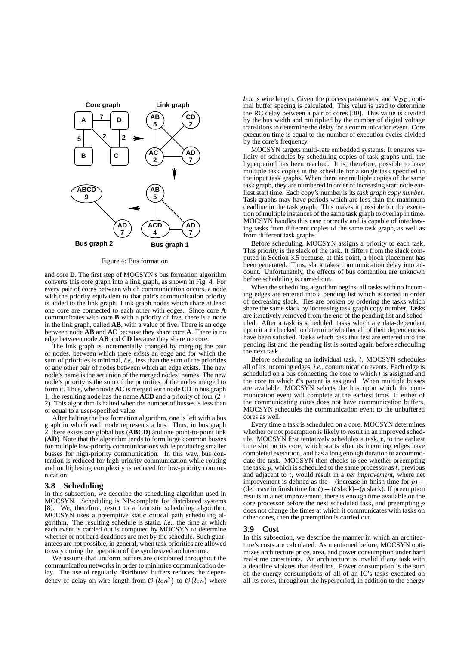

Figure 4: Bus formation

and core **D**. The first step of MOCSYN's bus formation algorithm converts this core graph into a link graph, as shown in Fig. 4. For every pair of cores between which communication occurs, a node with the priority equivalent to that pair's communication priority is added to the link graph. Link graph nodes which share at least one core are connected to each other with edges. Since core **A** communicates with core **B** with a priority of five, there is a node in the link graph, called **AB**, with a value of five. There is an edge between node **AB** and **AC** because they share core **A**. There is no edge between node **AB** and **CD** because they share no core.

The link graph is incrementally changed by merging the pair of nodes, between which there exists an edge and for which the sum of priorities is minimal, *i.e.*, less than the sum of the priorities of any other pair of nodes between which an edge exists. The new node's name is the set union of the merged nodes' names. The new node's priority is the sum of the priorities of the nodes merged to form it. Thus, when node **AC** is merged with node **CD** in bus graph 1, the resulting node has the name **ACD** and a priority of four (2 + 2). This algorithm is halted when the number of busses is less than or equal to a user-specified value.

After halting the bus formation algorithm, one is left with a bus graph in which each node represents a bus. Thus, in bus graph 2, there exists one global bus (**ABCD**) and one point-to-point link (**AD**). Note that the algorithm tends to form large common busses for multiple low-priority communications while producing smaller busses for high-priority communication. In this way, bus contention is reduced for high-priority communication while routing and multiplexing complexity is reduced for low-priority communication.

#### **3.8 Scheduling**

In this subsection, we describe the scheduling algorithm used in MOCSYN. Scheduling is NP-complete for distributed systems [8]. We, therefore, resort to a heuristic scheduling algorithm. MOCSYN uses a preemptive static critical path scheduling algorithm. The resulting schedule is static, *i.e.*, the time at which each event is carried out is computed by MOCSYN to determine whether or not hard deadlines are met by the schedule. Such guarantees are not possible, in general, when task priorities are allowed to vary during the operation of the synthesized architecture.

We assume that uniform buffers are distributed throughout the communication networks in order to minimize communication delay. The use of regularly distributed buffers reduces the dependency of delay on wire length from  $\mathcal{O}(len^2)$  to  $\mathcal{O}(len)$  where

*len* is wire length. Given the process parameters, and  $V_{DD}$ , optimal buffer spacing is calculated. This value is used to determine the RC delay between a pair of cores [30]. This value is divided by the bus width and multiplied by the number of digital voltage transitions to determine the delay for a communication event. Core execution time is equal to the number of execution cycles divided by the core's frequency.

MOCSYN targets multi-rate embedded systems. It ensures validity of schedules by scheduling copies of task graphs until the hyperperiod has been reached. It is, therefore, possible to have multiple task copies in the schedule for a single task specified in the input task graphs. When there are multiple copies of the same task graph, they are numbered in order of increasing start node earliest start time. Each copy's number is its *task graph copy number*. Task graphs may have periods which are less than the maximum deadline in the task graph. This makes it possible for the execution of multiple instances of the same task graph to overlap in time. MOCSYN handles this case correctly and is capable of interleaving tasks from different copies of the same task graph, as well as from different task graphs.

Before scheduling, MOCSYN assigns a priority to each task. This priority is the slack of the task. It differs from the slack computed in Section 3.5 because, at this point, a block placement has been generated. Thus, slack takes communication delay into account. Unfortunately, the effects of bus contention are unknown before scheduling is carried out.

When the scheduling algorithm begins, all tasks with no incoming edges are entered into a pending list which is sorted in order of decreasing slack. Ties are broken by ordering the tasks which share the same slack by increasing task graph copy number. Tasks are iteratively removed from the end of the pending list and scheduled. After a task is scheduled, tasks which are data-dependent upon it are checked to determine whether all of their dependencies have been satisfied. Tasks which pass this test are entered into the pending list and the pending list is sorted again before scheduling the next task.

Before scheduling an individual task,  $t$ , MOCSYN schedules all of its incoming edges, *i.e.*, communication events. Each edge is scheduled on a bus connecting the core to which  $t$  is assigned and the core to which  $t$ 's parent is assigned. When multiple busses are available, MOCSYN selects the bus upon which the communication event will complete at the earliest time. If either of the communicating cores does not have communication buffers, MOCSYN schedules the communication event to the unbuffered cores as well.

Every time a task is scheduled on a core, MOCSYN determines whether or not preemption is likely to result in an improved schedule. MOCSYN first tentatively schedules a task,  $t$ , to the earliest time slot on its core, which starts after its incoming edges have completed execution, and has a long enough duration to accommodate the task. MOCSYN then checks to see whether preempting the task,  $p$ , which is scheduled to the same processor as  $t$ , previous and adjacent to  $t$ , would result in a *net improvement*, where net improvement is defined as the  $-($ increase in finish time for  $p$ ) + (decrease in finish time for  $t$ ) – ( $t$  slack)+( $p$  slack). If preemption results in a net improvement, there is enough time available on the core processor before the next scheduled task, and preempting  $p$ does not change the times at which it communicates with tasks on other cores, then the preemption is carried out.

#### **3.9 Cost**

In this subsection, we describe the manner in which an architecture's costs are calculated. As mentioned before, MOCSYN optimizes architecture price, area, and power consumption under hard real-time constraints. An architecture is invalid if any task with a deadline violates that deadline. Power consumption is the sum of the energy consumptions of all of an IC's tasks executed on all its cores, throughout the hyperperiod, in addition to the energy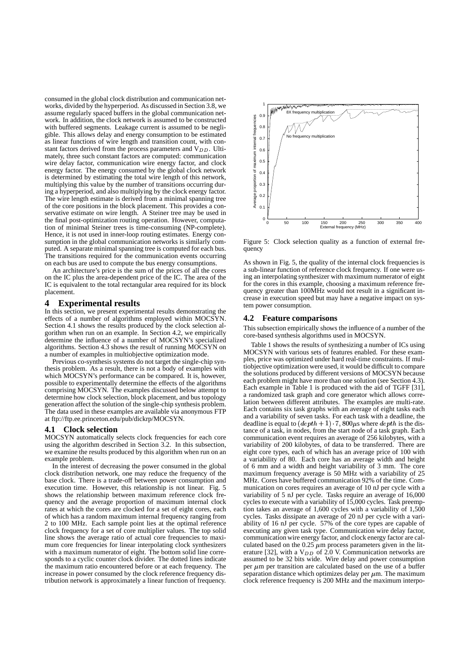consumed in the global clock distribution and communication networks, divided by the hyperperiod. As discussed in Section 3.8, we assume regularly spaced buffers in the global communication network. In addition, the clock network is assumed to be constructed with buffered segments. Leakage current is assumed to be negligible. This allows delay and energy consumption to be estimated as linear functions of wire length and transition count, with constant factors derived from the process parameters and  $V_{DD}$ . Ultimately, three such constant factors are computed: communication wire delay factor, communication wire energy factor, and clock energy factor. The energy consumed by the global clock network is determined by estimating the total wire length of this network, multiplying this value by the number of transitions occurring during a hyperperiod, and also multiplying by the clock energy factor. The wire length estimate is derived from a minimal spanning tree of the core positions in the block placement. This provides a conservative estimate on wire length. A Steiner tree may be used in the final post-optimization routing operation. However, computation of minimal Steiner trees is time-consuming (NP-complete). Hence, it is not used in inner-loop routing estimates. Energy consumption in the global communication networks is similarly computed. A separate minimal spanning tree is computed for each bus. The transitions required for the communication events occurring on each bus are used to compute the bus energy consumptions.

An architecture's price is the sum of the prices of all the cores on the IC plus the area-dependent price of the IC. The area of the IC is equivalent to the total rectangular area required for its block placement.

## **4 Experimental results**

In this section, we present experimental results demonstrating the effects of a number of algorithms employed within MOCSYN. Section 4.1 shows the results produced by the clock selection algorithm when run on an example. In Section 4.2, we empirically determine the influence of a number of MOCSYN's specialized algorithms. Section 4.3 shows the result of running MOCSYN on a number of examples in multiobjective optimization mode.

Previous co-synthesis systems do not target the single-chip synthesis problem. As a result, there is not a body of examples with which MOCSYN's performance can be compared. It is, however, possible to experimentally determine the effects of the algorithms comprising MOCSYN. The examples discussed below attempt to determine how clock selection, block placement, and bus topology generation affect the solution of the single-chip synthesis problem. The data used in these examples are available via anonymous FTP at ftp://ftp.ee.princeton.edu/pub/dickrp/MOCSYN.

## **4.1 Clock selection**

MOCSYN automatically selects clock frequencies for each core using the algorithm described in Section 3.2. In this subsection, we examine the results produced by this algorithm when run on an example problem.

In the interest of decreasing the power consumed in the global clock distribution network, one may reduce the frequency of the base clock. There is a trade-off between power consumption and execution time. However, this relationship is not linear. Fig. 5 shows the relationship between maximum reference clock frequency and the average proportion of maximum internal clock rates at which the cores are clocked for a set of eight cores, each of which has a random maximum internal frequency ranging from 2 to 100 MHz. Each sample point lies at the optimal reference clock frequency for a set of core multiplier values. The top solid line shows the average ratio of actual core frequencies to maximum core frequencies for linear interpolating clock synthesizers with a maximum numerator of eight. The bottom solid line corresponds to a cyclic counter clock divider. The dotted lines indicate the maximum ratio encountered before or at each frequency. The increase in power consumed by the clock reference frequency distribution network is approximately a linear function of frequency.



Figure 5: Clock selection quality as a function of external frequency

As shown in Fig. 5, the quality of the internal clock frequencies is a sub-linear function of reference clock frequency. If one were using an interpolating synthesizer with maximum numerator of eight for the cores in this example, choosing a maximum reference frequency greater than 100MHz would not result in a significant increase in execution speed but may have a negative impact on system power consumption.

## **4.2 Feature comparisons**

This subsection empirically shows the influence of a number of the core-based synthesis algorithms used in MOCSYN.

Table 1 shows the results of synthesizing a number of ICs using MOCSYN with various sets of features enabled. For these examples, price was optimized under hard real-time constraints. If multiobjective optimization were used, it would be difficult to compare the solutions produced by different versions of MOCSYN because each problem might have more than one solution (see Section 4.3). Each example in Table 1 is produced with the aid of TGFF [31], a randomized task graph and core generator which allows correlation between different attributes. The examples are multi-rate. Each contains six task graphs with an average of eight tasks each and a variability of seven tasks. For each task with a deadline, the deadline is equal to  $(depth + 1)$   $-7$ ,  $800\mu s$  where  $depth$  is the distance of a task, in nodes, from the start node of a task graph. Each communication event requires an average of 256 kilobytes, with a variability of 200 kilobytes, of data to be transferred. There are eight core types, each of which has an average price of 100 with a variability of 80. Each core has an average width and height of 6 mm and a width and height variability of 3 mm. The core maximum frequency average is 50 MHz with a variability of 25 MHz. Cores have buffered communication 92% of the time. Communication on cores requires an average of 10 nJ per cycle with a variability of 5 nJ per cycle. Tasks require an average of 16,000 cycles to execute with a variability of 15,000 cycles. Task preemption takes an average of 1,600 cycles with a variability of 1,500 cycles. Tasks dissipate an average of 20 nJ per cycle with a variability of 16 nJ per cycle. 57% of the core types are capable of executing any given task type. Communication wire delay factor, communication wire energy factor, and clock energy factor are calculated based on the  $0.25 \mu m$  process parameters given in the literature [32], with a  $V_{DD}$  of 2.0 V. Communication networks are assumed to be 32 bits wide. Wire delay and power consumption per  $\mu$ m per transition are calculated based on the use of a buffer separation distance which optimizes delay per  $\mu$ m. The maximum clock reference frequency is 200 MHz and the maximum interpo-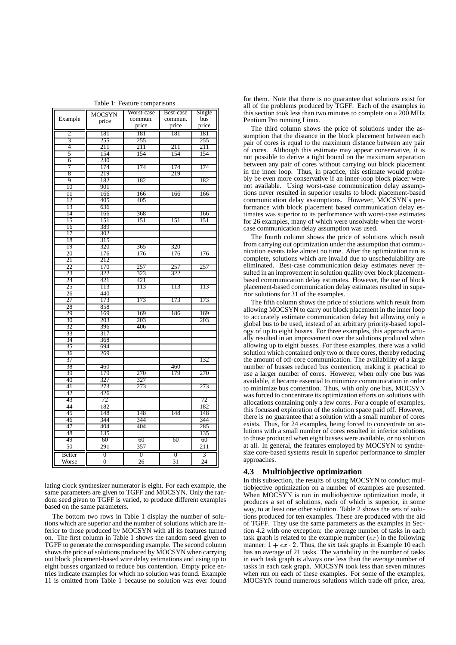| Example<br>bus<br>commun.<br>commun.<br>price<br>price<br>price<br>price<br>181<br>181<br>181<br>181<br>2<br>3<br>255<br>255<br>255<br>4<br>211<br>211<br>211<br>211<br>5<br>154<br>154<br>154<br>154<br>230<br>6<br>174<br>174<br>7<br>174<br>174<br>8<br>219<br>219<br>9<br>182<br>182<br>182<br>10<br>901<br>11<br>166<br>166<br>166<br>166<br>12<br>405<br>405<br>13<br>636<br>14<br>166<br>368<br>166<br>15<br>151<br>151<br>151<br>151<br>389<br>16<br>17<br>302<br>18<br>315<br>19<br>320<br>320<br>365<br>20<br>176<br>176<br>176<br>176<br>21<br>212<br>22<br>170<br>257<br>257<br>257<br>323<br>322<br>23<br>322<br>24<br>421<br>421<br>25<br>113<br>113<br>113<br>113<br>26<br>440<br>27<br>173<br>173<br>173<br>173<br>28<br>858<br>29<br>169<br>169<br>186<br>169<br>30<br>203<br>203<br>203<br>32<br>396<br>406<br>33<br>317<br>34<br>368<br>35<br>694<br>36<br>269<br>37<br>132<br>38<br>460<br>460<br>39<br>179<br>270<br>179<br>270<br>40<br>327<br>327<br>41<br>273<br>273<br>273<br>42<br>426<br>43<br>72<br>72<br>44<br>182<br>182<br>45<br>148<br>148<br>148<br>148<br>46<br>344<br>344<br>344<br>47<br>404<br>285<br>404<br>48<br>135<br>135<br>49<br>60<br>60<br>60<br>60<br>50<br>357<br>291<br>211<br>0<br>0<br>3<br><b>Better</b><br>0<br>Worse<br>0<br>26<br>31<br>24 | Worst-case<br>Best-case<br>Single |  |  |  |  |
|--------------------------------------------------------------------------------------------------------------------------------------------------------------------------------------------------------------------------------------------------------------------------------------------------------------------------------------------------------------------------------------------------------------------------------------------------------------------------------------------------------------------------------------------------------------------------------------------------------------------------------------------------------------------------------------------------------------------------------------------------------------------------------------------------------------------------------------------------------------------------------------------------------------------------------------------------------------------------------------------------------------------------------------------------------------------------------------------------------------------------------------------------------------------------------------------------------------------------------------------------------------------------------------------------|-----------------------------------|--|--|--|--|
|                                                                                                                                                                                                                                                                                                                                                                                                                                                                                                                                                                                                                                                                                                                                                                                                                                                                                                                                                                                                                                                                                                                                                                                                                                                                                                  | <b>MOCSYN</b>                     |  |  |  |  |
|                                                                                                                                                                                                                                                                                                                                                                                                                                                                                                                                                                                                                                                                                                                                                                                                                                                                                                                                                                                                                                                                                                                                                                                                                                                                                                  |                                   |  |  |  |  |
|                                                                                                                                                                                                                                                                                                                                                                                                                                                                                                                                                                                                                                                                                                                                                                                                                                                                                                                                                                                                                                                                                                                                                                                                                                                                                                  |                                   |  |  |  |  |
|                                                                                                                                                                                                                                                                                                                                                                                                                                                                                                                                                                                                                                                                                                                                                                                                                                                                                                                                                                                                                                                                                                                                                                                                                                                                                                  |                                   |  |  |  |  |
|                                                                                                                                                                                                                                                                                                                                                                                                                                                                                                                                                                                                                                                                                                                                                                                                                                                                                                                                                                                                                                                                                                                                                                                                                                                                                                  |                                   |  |  |  |  |
|                                                                                                                                                                                                                                                                                                                                                                                                                                                                                                                                                                                                                                                                                                                                                                                                                                                                                                                                                                                                                                                                                                                                                                                                                                                                                                  |                                   |  |  |  |  |
|                                                                                                                                                                                                                                                                                                                                                                                                                                                                                                                                                                                                                                                                                                                                                                                                                                                                                                                                                                                                                                                                                                                                                                                                                                                                                                  |                                   |  |  |  |  |
|                                                                                                                                                                                                                                                                                                                                                                                                                                                                                                                                                                                                                                                                                                                                                                                                                                                                                                                                                                                                                                                                                                                                                                                                                                                                                                  |                                   |  |  |  |  |
|                                                                                                                                                                                                                                                                                                                                                                                                                                                                                                                                                                                                                                                                                                                                                                                                                                                                                                                                                                                                                                                                                                                                                                                                                                                                                                  |                                   |  |  |  |  |
|                                                                                                                                                                                                                                                                                                                                                                                                                                                                                                                                                                                                                                                                                                                                                                                                                                                                                                                                                                                                                                                                                                                                                                                                                                                                                                  |                                   |  |  |  |  |
|                                                                                                                                                                                                                                                                                                                                                                                                                                                                                                                                                                                                                                                                                                                                                                                                                                                                                                                                                                                                                                                                                                                                                                                                                                                                                                  |                                   |  |  |  |  |
|                                                                                                                                                                                                                                                                                                                                                                                                                                                                                                                                                                                                                                                                                                                                                                                                                                                                                                                                                                                                                                                                                                                                                                                                                                                                                                  |                                   |  |  |  |  |
|                                                                                                                                                                                                                                                                                                                                                                                                                                                                                                                                                                                                                                                                                                                                                                                                                                                                                                                                                                                                                                                                                                                                                                                                                                                                                                  |                                   |  |  |  |  |
|                                                                                                                                                                                                                                                                                                                                                                                                                                                                                                                                                                                                                                                                                                                                                                                                                                                                                                                                                                                                                                                                                                                                                                                                                                                                                                  |                                   |  |  |  |  |
|                                                                                                                                                                                                                                                                                                                                                                                                                                                                                                                                                                                                                                                                                                                                                                                                                                                                                                                                                                                                                                                                                                                                                                                                                                                                                                  |                                   |  |  |  |  |
|                                                                                                                                                                                                                                                                                                                                                                                                                                                                                                                                                                                                                                                                                                                                                                                                                                                                                                                                                                                                                                                                                                                                                                                                                                                                                                  |                                   |  |  |  |  |
|                                                                                                                                                                                                                                                                                                                                                                                                                                                                                                                                                                                                                                                                                                                                                                                                                                                                                                                                                                                                                                                                                                                                                                                                                                                                                                  |                                   |  |  |  |  |
|                                                                                                                                                                                                                                                                                                                                                                                                                                                                                                                                                                                                                                                                                                                                                                                                                                                                                                                                                                                                                                                                                                                                                                                                                                                                                                  |                                   |  |  |  |  |
|                                                                                                                                                                                                                                                                                                                                                                                                                                                                                                                                                                                                                                                                                                                                                                                                                                                                                                                                                                                                                                                                                                                                                                                                                                                                                                  |                                   |  |  |  |  |
|                                                                                                                                                                                                                                                                                                                                                                                                                                                                                                                                                                                                                                                                                                                                                                                                                                                                                                                                                                                                                                                                                                                                                                                                                                                                                                  |                                   |  |  |  |  |
|                                                                                                                                                                                                                                                                                                                                                                                                                                                                                                                                                                                                                                                                                                                                                                                                                                                                                                                                                                                                                                                                                                                                                                                                                                                                                                  |                                   |  |  |  |  |
|                                                                                                                                                                                                                                                                                                                                                                                                                                                                                                                                                                                                                                                                                                                                                                                                                                                                                                                                                                                                                                                                                                                                                                                                                                                                                                  |                                   |  |  |  |  |
|                                                                                                                                                                                                                                                                                                                                                                                                                                                                                                                                                                                                                                                                                                                                                                                                                                                                                                                                                                                                                                                                                                                                                                                                                                                                                                  |                                   |  |  |  |  |
|                                                                                                                                                                                                                                                                                                                                                                                                                                                                                                                                                                                                                                                                                                                                                                                                                                                                                                                                                                                                                                                                                                                                                                                                                                                                                                  |                                   |  |  |  |  |
|                                                                                                                                                                                                                                                                                                                                                                                                                                                                                                                                                                                                                                                                                                                                                                                                                                                                                                                                                                                                                                                                                                                                                                                                                                                                                                  |                                   |  |  |  |  |
|                                                                                                                                                                                                                                                                                                                                                                                                                                                                                                                                                                                                                                                                                                                                                                                                                                                                                                                                                                                                                                                                                                                                                                                                                                                                                                  |                                   |  |  |  |  |
|                                                                                                                                                                                                                                                                                                                                                                                                                                                                                                                                                                                                                                                                                                                                                                                                                                                                                                                                                                                                                                                                                                                                                                                                                                                                                                  |                                   |  |  |  |  |
|                                                                                                                                                                                                                                                                                                                                                                                                                                                                                                                                                                                                                                                                                                                                                                                                                                                                                                                                                                                                                                                                                                                                                                                                                                                                                                  |                                   |  |  |  |  |
|                                                                                                                                                                                                                                                                                                                                                                                                                                                                                                                                                                                                                                                                                                                                                                                                                                                                                                                                                                                                                                                                                                                                                                                                                                                                                                  |                                   |  |  |  |  |
|                                                                                                                                                                                                                                                                                                                                                                                                                                                                                                                                                                                                                                                                                                                                                                                                                                                                                                                                                                                                                                                                                                                                                                                                                                                                                                  |                                   |  |  |  |  |
|                                                                                                                                                                                                                                                                                                                                                                                                                                                                                                                                                                                                                                                                                                                                                                                                                                                                                                                                                                                                                                                                                                                                                                                                                                                                                                  |                                   |  |  |  |  |
|                                                                                                                                                                                                                                                                                                                                                                                                                                                                                                                                                                                                                                                                                                                                                                                                                                                                                                                                                                                                                                                                                                                                                                                                                                                                                                  |                                   |  |  |  |  |
|                                                                                                                                                                                                                                                                                                                                                                                                                                                                                                                                                                                                                                                                                                                                                                                                                                                                                                                                                                                                                                                                                                                                                                                                                                                                                                  |                                   |  |  |  |  |
|                                                                                                                                                                                                                                                                                                                                                                                                                                                                                                                                                                                                                                                                                                                                                                                                                                                                                                                                                                                                                                                                                                                                                                                                                                                                                                  |                                   |  |  |  |  |
|                                                                                                                                                                                                                                                                                                                                                                                                                                                                                                                                                                                                                                                                                                                                                                                                                                                                                                                                                                                                                                                                                                                                                                                                                                                                                                  |                                   |  |  |  |  |
|                                                                                                                                                                                                                                                                                                                                                                                                                                                                                                                                                                                                                                                                                                                                                                                                                                                                                                                                                                                                                                                                                                                                                                                                                                                                                                  |                                   |  |  |  |  |
|                                                                                                                                                                                                                                                                                                                                                                                                                                                                                                                                                                                                                                                                                                                                                                                                                                                                                                                                                                                                                                                                                                                                                                                                                                                                                                  |                                   |  |  |  |  |
|                                                                                                                                                                                                                                                                                                                                                                                                                                                                                                                                                                                                                                                                                                                                                                                                                                                                                                                                                                                                                                                                                                                                                                                                                                                                                                  |                                   |  |  |  |  |
|                                                                                                                                                                                                                                                                                                                                                                                                                                                                                                                                                                                                                                                                                                                                                                                                                                                                                                                                                                                                                                                                                                                                                                                                                                                                                                  |                                   |  |  |  |  |
|                                                                                                                                                                                                                                                                                                                                                                                                                                                                                                                                                                                                                                                                                                                                                                                                                                                                                                                                                                                                                                                                                                                                                                                                                                                                                                  |                                   |  |  |  |  |
|                                                                                                                                                                                                                                                                                                                                                                                                                                                                                                                                                                                                                                                                                                                                                                                                                                                                                                                                                                                                                                                                                                                                                                                                                                                                                                  |                                   |  |  |  |  |
|                                                                                                                                                                                                                                                                                                                                                                                                                                                                                                                                                                                                                                                                                                                                                                                                                                                                                                                                                                                                                                                                                                                                                                                                                                                                                                  |                                   |  |  |  |  |
|                                                                                                                                                                                                                                                                                                                                                                                                                                                                                                                                                                                                                                                                                                                                                                                                                                                                                                                                                                                                                                                                                                                                                                                                                                                                                                  |                                   |  |  |  |  |
|                                                                                                                                                                                                                                                                                                                                                                                                                                                                                                                                                                                                                                                                                                                                                                                                                                                                                                                                                                                                                                                                                                                                                                                                                                                                                                  |                                   |  |  |  |  |
|                                                                                                                                                                                                                                                                                                                                                                                                                                                                                                                                                                                                                                                                                                                                                                                                                                                                                                                                                                                                                                                                                                                                                                                                                                                                                                  |                                   |  |  |  |  |
|                                                                                                                                                                                                                                                                                                                                                                                                                                                                                                                                                                                                                                                                                                                                                                                                                                                                                                                                                                                                                                                                                                                                                                                                                                                                                                  |                                   |  |  |  |  |
|                                                                                                                                                                                                                                                                                                                                                                                                                                                                                                                                                                                                                                                                                                                                                                                                                                                                                                                                                                                                                                                                                                                                                                                                                                                                                                  |                                   |  |  |  |  |
|                                                                                                                                                                                                                                                                                                                                                                                                                                                                                                                                                                                                                                                                                                                                                                                                                                                                                                                                                                                                                                                                                                                                                                                                                                                                                                  |                                   |  |  |  |  |
|                                                                                                                                                                                                                                                                                                                                                                                                                                                                                                                                                                                                                                                                                                                                                                                                                                                                                                                                                                                                                                                                                                                                                                                                                                                                                                  |                                   |  |  |  |  |
|                                                                                                                                                                                                                                                                                                                                                                                                                                                                                                                                                                                                                                                                                                                                                                                                                                                                                                                                                                                                                                                                                                                                                                                                                                                                                                  |                                   |  |  |  |  |
|                                                                                                                                                                                                                                                                                                                                                                                                                                                                                                                                                                                                                                                                                                                                                                                                                                                                                                                                                                                                                                                                                                                                                                                                                                                                                                  |                                   |  |  |  |  |
|                                                                                                                                                                                                                                                                                                                                                                                                                                                                                                                                                                                                                                                                                                                                                                                                                                                                                                                                                                                                                                                                                                                                                                                                                                                                                                  |                                   |  |  |  |  |
|                                                                                                                                                                                                                                                                                                                                                                                                                                                                                                                                                                                                                                                                                                                                                                                                                                                                                                                                                                                                                                                                                                                                                                                                                                                                                                  |                                   |  |  |  |  |
|                                                                                                                                                                                                                                                                                                                                                                                                                                                                                                                                                                                                                                                                                                                                                                                                                                                                                                                                                                                                                                                                                                                                                                                                                                                                                                  |                                   |  |  |  |  |
|                                                                                                                                                                                                                                                                                                                                                                                                                                                                                                                                                                                                                                                                                                                                                                                                                                                                                                                                                                                                                                                                                                                                                                                                                                                                                                  |                                   |  |  |  |  |

Table 1: Feature comparisons

lating clock synthesizer numerator is eight. For each example, the same parameters are given to TGFF and MOCSYN. Only the random seed given to TGFF is varied, to produce different examples based on the same parameters.

The bottom two rows in Table 1 display the number of solutions which are superior and the number of solutions which are inferior to those produced by MOCSYN with all its features turned on. The first column in Table 1 shows the random seed given to TGFF to generate the corresponding example. The second column shows the price of solutions produced by MOCSYN when carrying out block placement-based wire delay estimations and using up to eight busses organized to reduce bus contention. Empty price entries indicate examples for which no solution was found. Example 11 is omitted from Table 1 because no solution was ever found for them. Note that there is no guarantee that solutions exist for all of the problems produced by TGFF. Each of the examples in this section took less than two minutes to complete on a 200 MHz Pentium Pro running Linux.

The third column shows the price of solutions under the assumption that the distance in the block placement between each pair of cores is equal to the maximum distance between any pair of cores. Although this estimate may appear conservative, it is not possible to derive a tight bound on the maximum separation between any pair of cores without carrying out block placement in the inner loop. Thus, in practice, this estimate would probably be even more conservative if an inner-loop block placer were not available. Using worst-case communication delay assumptions never resulted in superior results to block placement-based communication delay assumptions. However, MOCSYN's performance with block placement based communication delay estimates was superior to its performance with worst-case estimates for 26 examples, many of which were unsolvable when the worstcase communication delay assumption was used.

The fourth column shows the price of solutions which result from carrying out optimization under the assumption that communication events take almost no time. After the optimization run is complete, solutions which are invalid due to unschedulability are eliminated. Best-case communication delay estimates never resulted in an improvement in solution quality over block placementbased communication delay estimates. However, the use of block placement-based communication delay estimates resulted in superior solutions for 31 of the examples.

The fifth column shows the price of solutions which result from allowing MOCSYN to carry out block placement in the inner loop to accurately estimate communication delay but allowing only a global bus to be used, instead of an arbitrary priority-based topology of up to eight busses. For three examples, this approach actually resulted in an improvement over the solutions produced when allowing up to eight busses. For these examples, there was a valid solution which contained only two or three cores, thereby reducing the amount of off-core communication. The availability of a large number of busses reduced bus contention, making it practical to use a larger number of cores. However, when only one bus was available, it became essential to minimize communication in order to minimize bus contention. Thus, with only one bus, MOCSYN was forced to concentrate its optimization efforts on solutions with allocations containing only a few cores. For a couple of examples, this focussed exploration of the solution space paid off. However, there is no guarantee that a solution with a small number of cores exists. Thus, for 24 examples, being forced to concentrate on solutions with a small number of cores resulted in inferior solutions to those produced when eight busses were available, or no solution at all. In general, the features employed by MOCSYN to synthesize core-based systems result in superior performance to simpler approaches.

## **4.3 Multiobjective optimization**

In this subsection, the results of using MOCSYN to conduct multiobjective optimization on a number of examples are presented. When MOCSYN is run in multiobjective optimization mode, it produces a set of solutions, each of which is superior, in some way, to at least one other solution. Table 2 shows the sets of solutions produced for ten examples. These are produced with the aid of TGFF. They use the same parameters as the examples in Section 4.2 with one exception: the average number of tasks in each task graph is related to the example number  $(ex)$  in the following manner:  $1 + ex$  2. Thus, the six task graphs in Example 10 each has an average of 21 tasks. The variability in the number of tasks in each task graph is always one less than the average number of tasks in each task graph. MOCSYN took less than seven minutes when run on each of these examples. For some of the examples, MOCSYN found numerous solutions which trade off price, area,